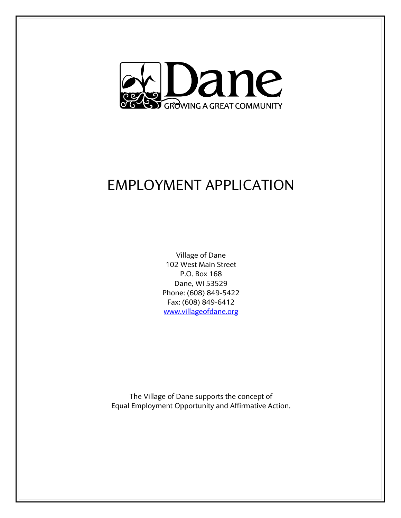

## EMPLOYMENT APPLICATION

Village of Dane 102 West Main Street P.O. Box 168 Dane, WI 53529 Phone: (608) 849-5422 Fax: (608) 849-6412 [www.villageofdane.org](http://www.villageofdane.org/)

The Village of Dane supports the concept of Equal Employment Opportunity and Affirmative Action.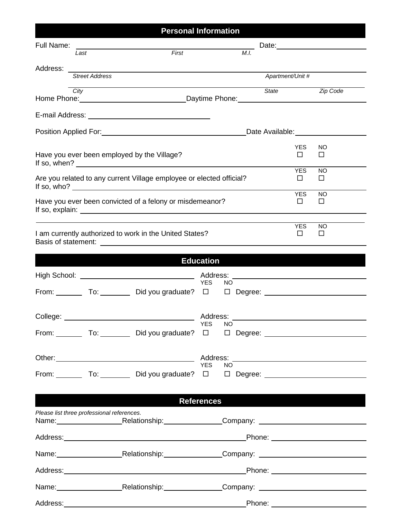| <b>Personal Information</b>                             |                                            |                                                                                                                 |                                        |                   |                      |                     |
|---------------------------------------------------------|--------------------------------------------|-----------------------------------------------------------------------------------------------------------------|----------------------------------------|-------------------|----------------------|---------------------|
| Full Name:                                              |                                            |                                                                                                                 |                                        |                   |                      |                     |
|                                                         | Last                                       | First                                                                                                           |                                        | M.I.              |                      |                     |
| Address: _                                              | <b>Street Address</b>                      |                                                                                                                 |                                        |                   | Apartment/Unit #     |                     |
|                                                         | City                                       |                                                                                                                 |                                        | State             |                      | <b>Zip Code</b>     |
|                                                         |                                            |                                                                                                                 |                                        |                   |                      |                     |
|                                                         |                                            |                                                                                                                 |                                        |                   |                      |                     |
|                                                         |                                            |                                                                                                                 |                                        |                   |                      |                     |
|                                                         |                                            | Have you ever been employed by the Village?<br>If so, when? $\sqrt{ }$                                          |                                        |                   | YES.<br>П            | NO.<br>$\Box$       |
|                                                         |                                            | Are you related to any current Village employee or elected official?                                            |                                        |                   | <b>YES</b><br>$\Box$ | <b>NO</b><br>$\Box$ |
|                                                         |                                            | Have you ever been convicted of a felony or misdemeanor?                                                        |                                        |                   | <b>YES</b><br>$\Box$ | <b>NO</b><br>□      |
| I am currently authorized to work in the United States? |                                            |                                                                                                                 |                                        |                   | <b>YES</b><br>$\Box$ | <b>NO</b><br>□      |
|                                                         |                                            |                                                                                                                 |                                        |                   |                      |                     |
|                                                         |                                            |                                                                                                                 | <b>Education</b>                       |                   |                      |                     |
|                                                         |                                            |                                                                                                                 | <b>YES</b><br>NO.                      |                   |                      |                     |
|                                                         |                                            |                                                                                                                 |                                        |                   |                      |                     |
| College:                                                |                                            |                                                                                                                 | Address:<br><b>YES</b><br>NO <b>NO</b> |                   |                      |                     |
|                                                         |                                            |                                                                                                                 |                                        |                   |                      |                     |
|                                                         |                                            |                                                                                                                 | YES NO                                 |                   |                      |                     |
|                                                         |                                            |                                                                                                                 |                                        |                   |                      |                     |
|                                                         |                                            |                                                                                                                 |                                        |                   |                      |                     |
|                                                         |                                            |                                                                                                                 | <b>References</b>                      |                   |                      |                     |
|                                                         | Please list three professional references. | Name: Relationship: Company: Company: Name: Company: Company: Name: Company: Name: Name: Company: Name: Name: N |                                        |                   |                      |                     |
|                                                         |                                            |                                                                                                                 |                                        |                   |                      |                     |
|                                                         |                                            | Name: Relationship: Company: Company:                                                                           |                                        |                   |                      |                     |
|                                                         |                                            |                                                                                                                 |                                        |                   |                      |                     |
|                                                         |                                            |                                                                                                                 |                                        |                   |                      |                     |
|                                                         |                                            | Name: Relationship: Company: Company:                                                                           |                                        |                   |                      |                     |
| Address:__________                                      |                                            |                                                                                                                 |                                        | Phone: __________ |                      |                     |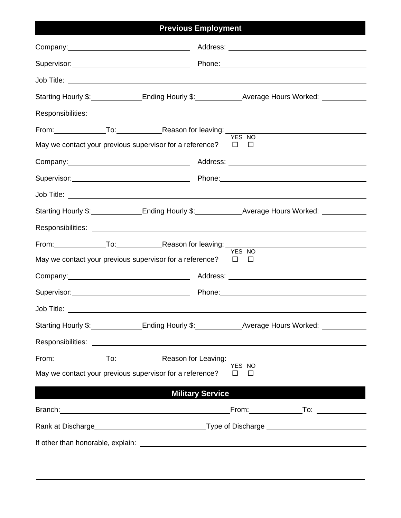| <b>Previous Employment</b> |                                                                        |                                                                                                                                                                                                                                |  |  |  |  |
|----------------------------|------------------------------------------------------------------------|--------------------------------------------------------------------------------------------------------------------------------------------------------------------------------------------------------------------------------|--|--|--|--|
|                            |                                                                        |                                                                                                                                                                                                                                |  |  |  |  |
|                            |                                                                        | Supervisor: 2000 Contract Phone: 2000 Phone: 2000 Phone: 2000 Phone: 2000 Phone: 2000 Phone: 2000 Phone: 2000 Phone: 2000 Phone: 2000 Phone: 2000 Phone: 2000 Phone: 2000 Phone: 2000 Phone: 2000 Phone: 2000 Phone: 2000 Phon |  |  |  |  |
|                            |                                                                        |                                                                                                                                                                                                                                |  |  |  |  |
|                            |                                                                        | Starting Hourly \$: Ending Hourly \$: Average Hours Worked: Cambridge Hours Worked:                                                                                                                                            |  |  |  |  |
|                            |                                                                        |                                                                                                                                                                                                                                |  |  |  |  |
|                            |                                                                        | From: To: To: Reason for leaving: To: The Manuson of Leaving: The Manuson of Leaving: The Manuson of Manuson of Manuson of Manuson of Manuson of Manuson of Manuson of Manuson of Manuson of Manuson of Manuson of Manuson of  |  |  |  |  |
|                            | May we contact your previous supervisor for a reference? $\square$     | $\Box$                                                                                                                                                                                                                         |  |  |  |  |
|                            |                                                                        |                                                                                                                                                                                                                                |  |  |  |  |
|                            |                                                                        |                                                                                                                                                                                                                                |  |  |  |  |
|                            |                                                                        |                                                                                                                                                                                                                                |  |  |  |  |
|                            |                                                                        | Starting Hourly \$: Ending Hourly \$: Average Hours Worked: Cambridge Hours Worked:                                                                                                                                            |  |  |  |  |
|                            |                                                                        |                                                                                                                                                                                                                                |  |  |  |  |
|                            | From: To: To: Reason for leaving: YES NO                               |                                                                                                                                                                                                                                |  |  |  |  |
|                            | May we contact your previous supervisor for a reference? $\Box$ $\Box$ |                                                                                                                                                                                                                                |  |  |  |  |
|                            |                                                                        | Company: Company:                                                                                                                                                                                                              |  |  |  |  |
|                            |                                                                        |                                                                                                                                                                                                                                |  |  |  |  |
|                            |                                                                        |                                                                                                                                                                                                                                |  |  |  |  |
|                            |                                                                        | Starting Hourly \$: Ending Hourly \$: Average Hours Worked: Cambridge Hours Worked:                                                                                                                                            |  |  |  |  |
|                            |                                                                        |                                                                                                                                                                                                                                |  |  |  |  |
|                            |                                                                        | From: To: To: Reason for Leaving: TES NO                                                                                                                                                                                       |  |  |  |  |
|                            | May we contact your previous supervisor for a reference?               | $\Box$<br>П                                                                                                                                                                                                                    |  |  |  |  |
|                            | <b>Military Service</b>                                                |                                                                                                                                                                                                                                |  |  |  |  |
|                            |                                                                        |                                                                                                                                                                                                                                |  |  |  |  |
|                            |                                                                        |                                                                                                                                                                                                                                |  |  |  |  |
|                            |                                                                        |                                                                                                                                                                                                                                |  |  |  |  |
|                            |                                                                        |                                                                                                                                                                                                                                |  |  |  |  |
|                            |                                                                        |                                                                                                                                                                                                                                |  |  |  |  |